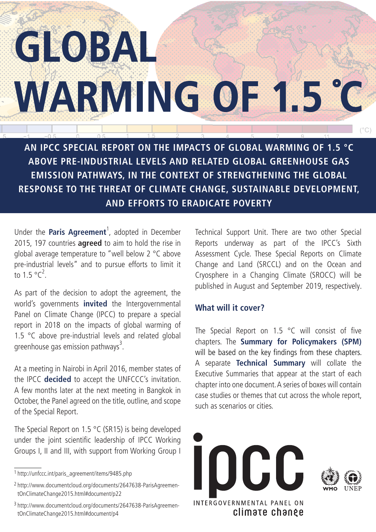# GLOBAL **WARMING OF 1.5 °C**  $(^\circ \text{C})$

**AN IPCC SPECIAL REPORT ON THE IMPACTS OF GLOBAL WARMING OF 1.5 °C ABOVE PRE-INDUSTRIAL LEVELS AND RELATED GLOBAL GREENHOUSE GAS EMISSION PATHWAYS, IN THE CONTEXT OF STRENGTHENING THE GLOBAL RESPONSE TO THE THREAT OF CLIMATE CHANGE, SUSTAINABLE DEVELOPMENT, AND EFFORTS TO ERADICATE POVERTY**

1 1.5 2

Under the **Paris Agreement**<sup>1</sup>, adopted in December 2015, 197 countries **agreed** to aim to hold the rise in global average temperature to "well below 2 °C above pre-industrial levels" and to pursue efforts to limit it to 1.5  $^{\circ}$ C<sup>2</sup>.

As part of the decision to adopt the agreement, the world's governments **invited** the Intergovernmental Panel on Climate Change (IPCC) to prepare a special report in 2018 on the impacts of global warming of 1.5 °C above pre-industrial levels and related global greenhouse gas emission pathways<sup>3</sup>.

At a meeting in Nairobi in April 2016, member states of the IPCC **decided** to accept the UNFCCC's invitation. A few months later at the next meeting in Bangkok in October, the Panel agreed on the title, outline, and scope of the Special Report.

The Special Report on 1.5 °C (SR15) is being developed under the joint scientific leadership of IPCC Working Groups I, II and III, with support from Working Group I

Technical Support Unit. There are two other Special Reports underway as part of the IPCC's Sixth Assessment Cycle. These Special Reports on Climate Change and Land (SRCCL) and on the Ocean and Cryosphere in a Changing Climate (SROCC) will be published in August and September 2019, respectively.

## **What will it cover?**

The Special Report on 1.5 °C will consist of five chapters. The **Summary for Policymakers (SPM)**  will be based on the key findings from these chapters. A separate **Technical Summary** will collate the Executive Summaries that appear at the start of each chapter into one document. A series of boxes will contain case studies or themes that cut across the whole report, such as scenarios or cities.



<sup>1</sup> http://unfccc.int/paris\_agreement/items/9485.php

<sup>2</sup> http://www.documentcloud.org/documents/2647638-ParisAgreementOnClimateChange2015.html#document/p22

<sup>3</sup> http://www.documentcloud.org/documents/2647638-ParisAgreementOnClimateChange2015.html#document/p4